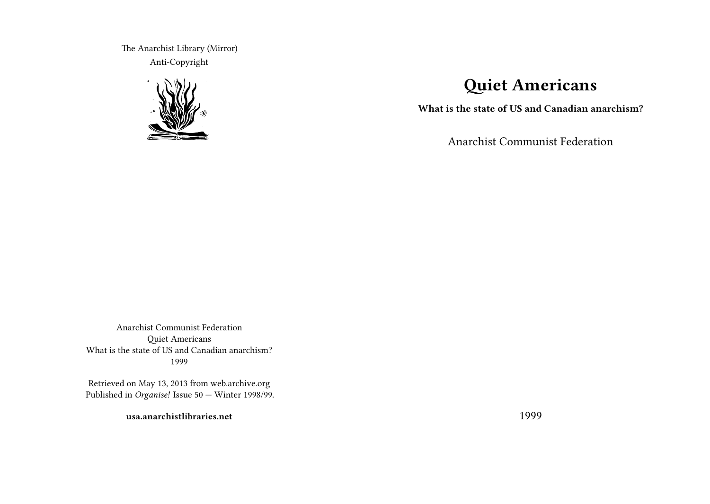The Anarchist Library (Mirror) Anti-Copyright



# **Quiet Americans**

**What is the state of US and Canadian anarchism?**

Anarchist Communist Federation

Anarchist Communist Federation Quiet Americans What is the state of US and Canadian anarchism? 1999

Retrieved on May 13, 2013 from web.archive.org Published in *Organise!* Issue 50 — Winter 1998/99.

**usa.anarchistlibraries.net**

1999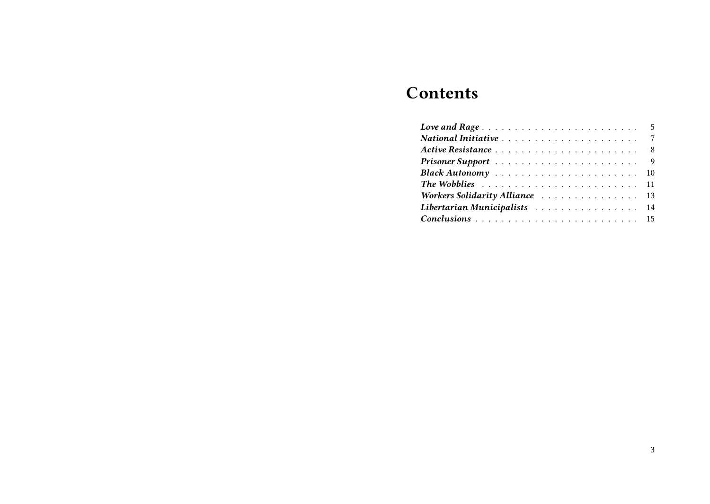# **Contents**

| Black Autonomy  10                                                               |  |  |  |  |  |  |  |  |  |  |  |
|----------------------------------------------------------------------------------|--|--|--|--|--|--|--|--|--|--|--|
| The Wobblies $\ldots \ldots \ldots \ldots \ldots \ldots \ldots \ldots \ldots 11$ |  |  |  |  |  |  |  |  |  |  |  |
| Workers Solidarity Alliance  13                                                  |  |  |  |  |  |  |  |  |  |  |  |
| Libertarian Municipalists 14                                                     |  |  |  |  |  |  |  |  |  |  |  |
|                                                                                  |  |  |  |  |  |  |  |  |  |  |  |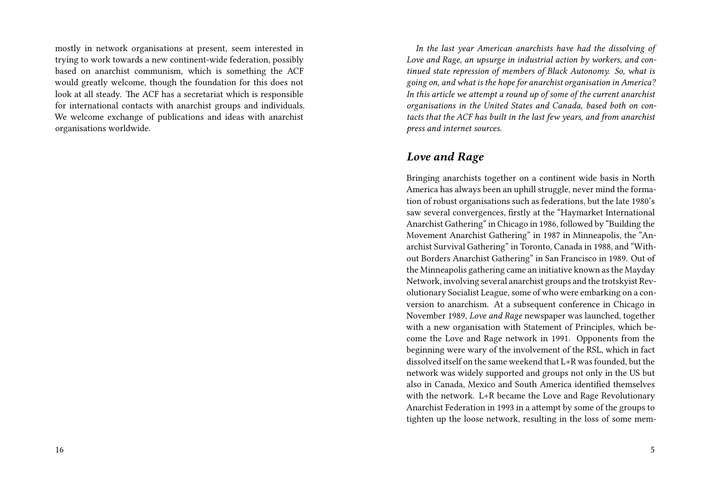mostly in network organisations at present, seem interested in trying to work towards a new continent-wide federation, possibly based on anarchist communism, which is something the ACF would greatly welcome, though the foundation for this does not look at all steady. The ACF has a secretariat which is responsible for international contacts with anarchist groups and individuals. We welcome exchange of publications and ideas with anarchist organisations worldwide.

*In the last year American anarchists have had the dissolving of Love and Rage, an upsurge in industrial action by workers, and continued state repression of members of Black Autonomy. So, what is going on, and what is the hope for anarchist organisation in America? In this article we attempt a round up of some of the current anarchist organisations in the United States and Canada, based both on contacts that the ACF has built in the last few years, and from anarchist press and internet sources.*

#### *Love and Rage*

Bringing anarchists together on a continent wide basis in North America has always been an uphill struggle, never mind the formation of robust organisations such as federations, but the late 1980's saw several convergences, firstly at the "Haymarket International Anarchist Gathering" in Chicago in 1986, followed by "Building the Movement Anarchist Gathering" in 1987 in Minneapolis, the "Anarchist Survival Gathering" in Toronto, Canada in 1988, and "Without Borders Anarchist Gathering" in San Francisco in 1989. Out of the Minneapolis gathering came an initiative known as the Mayday Network, involving several anarchist groups and the trotskyist Revolutionary Socialist League, some of who were embarking on a conversion to anarchism. At a subsequent conference in Chicago in November 1989, *Love and Rage* newspaper was launched, together with a new organisation with Statement of Principles, which become the Love and Rage network in 1991. Opponents from the beginning were wary of the involvement of the RSL, which in fact dissolved itself on the same weekend that L+R was founded, but the network was widely supported and groups not only in the US but also in Canada, Mexico and South America identified themselves with the network. L+R became the Love and Rage Revolutionary Anarchist Federation in 1993 in a attempt by some of the groups to tighten up the loose network, resulting in the loss of some mem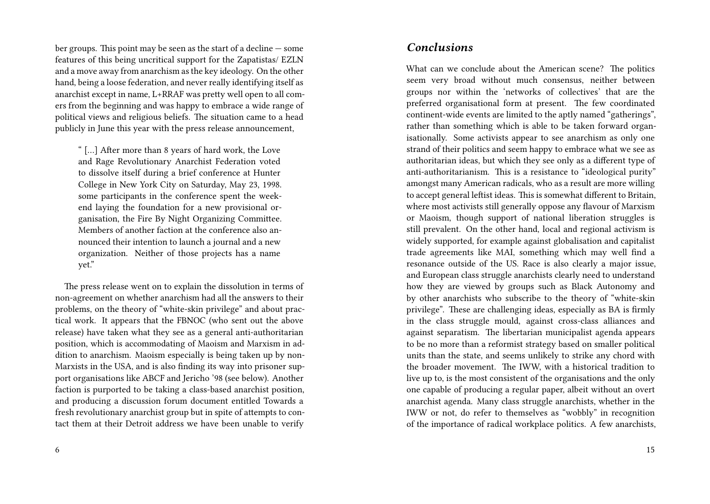ber groups. This point may be seen as the start of a decline — some features of this being uncritical support for the Zapatistas/ EZLN and a move away from anarchism as the key ideology. On the other hand, being a loose federation, and never really identifying itself as anarchist except in name, L+RRAF was pretty well open to all comers from the beginning and was happy to embrace a wide range of political views and religious beliefs. The situation came to a head publicly in June this year with the press release announcement,

" […] After more than 8 years of hard work, the Love and Rage Revolutionary Anarchist Federation voted to dissolve itself during a brief conference at Hunter College in New York City on Saturday, May 23, 1998. some participants in the conference spent the weekend laying the foundation for a new provisional organisation, the Fire By Night Organizing Committee. Members of another faction at the conference also announced their intention to launch a journal and a new organization. Neither of those projects has a name yet."

The press release went on to explain the dissolution in terms of non-agreement on whether anarchism had all the answers to their problems, on the theory of "white-skin privilege" and about practical work. It appears that the FBNOC (who sent out the above release) have taken what they see as a general anti-authoritarian position, which is accommodating of Maoism and Marxism in addition to anarchism. Maoism especially is being taken up by non-Marxists in the USA, and is also finding its way into prisoner support organisations like ABCF and Jericho '98 (see below). Another faction is purported to be taking a class-based anarchist position, and producing a discussion forum document entitled Towards a fresh revolutionary anarchist group but in spite of attempts to contact them at their Detroit address we have been unable to verify

#### *Conclusions*

What can we conclude about the American scene? The politics seem very broad without much consensus, neither between groups nor within the 'networks of collectives' that are the preferred organisational form at present. The few coordinated continent-wide events are limited to the aptly named "gatherings", rather than something which is able to be taken forward organisationally. Some activists appear to see anarchism as only one strand of their politics and seem happy to embrace what we see as authoritarian ideas, but which they see only as a different type of anti-authoritarianism. This is a resistance to "ideological purity" amongst many American radicals, who as a result are more willing to accept general leftist ideas. This is somewhat different to Britain, where most activists still generally oppose any flavour of Marxism or Maoism, though support of national liberation struggles is still prevalent. On the other hand, local and regional activism is widely supported, for example against globalisation and capitalist trade agreements like MAI, something which may well find a resonance outside of the US. Race is also clearly a major issue, and European class struggle anarchists clearly need to understand how they are viewed by groups such as Black Autonomy and by other anarchists who subscribe to the theory of "white-skin privilege". These are challenging ideas, especially as BA is firmly in the class struggle mould, against cross-class alliances and against separatism. The libertarian municipalist agenda appears to be no more than a reformist strategy based on smaller political units than the state, and seems unlikely to strike any chord with the broader movement. The IWW, with a historical tradition to live up to, is the most consistent of the organisations and the only one capable of producing a regular paper, albeit without an overt anarchist agenda. Many class struggle anarchists, whether in the IWW or not, do refer to themselves as "wobbly" in recognition of the importance of radical workplace politics. A few anarchists,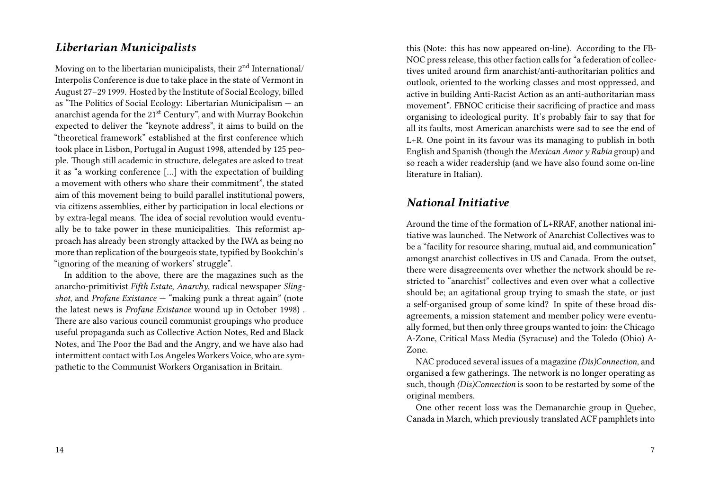### *Libertarian Municipalists*

Moving on to the libertarian municipalists, their  $2<sup>nd</sup>$  International/ Interpolis Conference is due to take place in the state of Vermont in August 27–29 1999. Hosted by the Institute of Social Ecology, billed as "The Politics of Social Ecology: Libertarian Municipalism — an anarchist agenda for the 21<sup>st</sup> Century", and with Murray Bookchin expected to deliver the "keynote address", it aims to build on the "theoretical framework" established at the first conference which took place in Lisbon, Portugal in August 1998, attended by 125 people. Though still academic in structure, delegates are asked to treat it as "a working conference […] with the expectation of building a movement with others who share their commitment", the stated aim of this movement being to build parallel institutional powers, via citizens assemblies, either by participation in local elections or by extra-legal means. The idea of social revolution would eventually be to take power in these municipalities. This reformist approach has already been strongly attacked by the IWA as being no more than replication of the bourgeois state, typified by Bookchin's "ignoring of the meaning of workers' struggle".

In addition to the above, there are the magazines such as the anarcho-primitivist *Fifth Estate*, *Anarchy*, radical newspaper *Slingshot*, and *Profane Existance* — "making punk a threat again" (note the latest news is *Profane Existance* wound up in October 1998) . There are also various council communist groupings who produce useful propaganda such as Collective Action Notes, Red and Black Notes, and The Poor the Bad and the Angry, and we have also had intermittent contact with Los Angeles Workers Voice, who are sympathetic to the Communist Workers Organisation in Britain.

this (Note: this has now appeared on-line). According to the FB-NOC press release, this other faction calls for "a federation of collectives united around firm anarchist/anti-authoritarian politics and outlook, oriented to the working classes and most oppressed, and active in building Anti-Racist Action as an anti-authoritarian mass movement". FBNOC criticise their sacrificing of practice and mass organising to ideological purity. It's probably fair to say that for all its faults, most American anarchists were sad to see the end of L+R. One point in its favour was its managing to publish in both English and Spanish (though the *Mexican Amor y Rabia* group) and so reach a wider readership (and we have also found some on-line literature in Italian).

### *National Initiative*

Around the time of the formation of L+RRAF, another national initiative was launched. The Network of Anarchist Collectives was to be a "facility for resource sharing, mutual aid, and communication" amongst anarchist collectives in US and Canada. From the outset, there were disagreements over whether the network should be restricted to "anarchist" collectives and even over what a collective should be; an agitational group trying to smash the state, or just a self-organised group of some kind? In spite of these broad disagreements, a mission statement and member policy were eventually formed, but then only three groups wanted to join: the Chicago A-Zone, Critical Mass Media (Syracuse) and the Toledo (Ohio) A-Zone.

NAC produced several issues of a magazine *(Dis)Connection*, and organised a few gatherings. The network is no longer operating as such, though *(Dis)Connection* is soon to be restarted by some of the original members.

One other recent loss was the Demanarchie group in Quebec, Canada in March, which previously translated ACF pamphlets into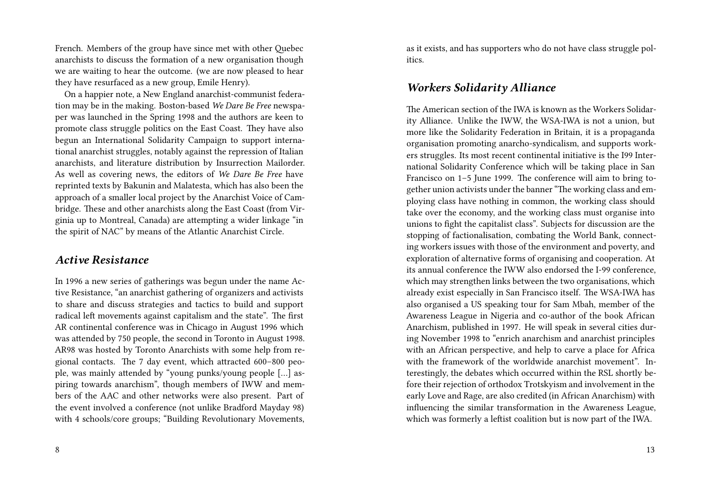French. Members of the group have since met with other Quebec anarchists to discuss the formation of a new organisation though we are waiting to hear the outcome. (we are now pleased to hear they have resurfaced as a new group, Emile Henry).

On a happier note, a New England anarchist-communist federation may be in the making. Boston-based *We Dare Be Free* newspaper was launched in the Spring 1998 and the authors are keen to promote class struggle politics on the East Coast. They have also begun an International Solidarity Campaign to support international anarchist struggles, notably against the repression of Italian anarchists, and literature distribution by Insurrection Mailorder. As well as covering news, the editors of *We Dare Be Free* have reprinted texts by Bakunin and Malatesta, which has also been the approach of a smaller local project by the Anarchist Voice of Cambridge. These and other anarchists along the East Coast (from Virginia up to Montreal, Canada) are attempting a wider linkage "in the spirit of NAC" by means of the Atlantic Anarchist Circle.

#### *Active Resistance*

In 1996 a new series of gatherings was begun under the name Active Resistance, "an anarchist gathering of organizers and activists to share and discuss strategies and tactics to build and support radical left movements against capitalism and the state". The first AR continental conference was in Chicago in August 1996 which was attended by 750 people, the second in Toronto in August 1998. AR98 was hosted by Toronto Anarchists with some help from regional contacts. The 7 day event, which attracted 600–800 people, was mainly attended by "young punks/young people […] aspiring towards anarchism", though members of IWW and members of the AAC and other networks were also present. Part of the event involved a conference (not unlike Bradford Mayday 98) with 4 schools/core groups; "Building Revolutionary Movements,

8

as it exists, and has supporters who do not have class struggle politics.

#### *Workers Solidarity Alliance*

The American section of the IWA is known as the Workers Solidarity Alliance. Unlike the IWW, the WSA-IWA is not a union, but more like the Solidarity Federation in Britain, it is a propaganda organisation promoting anarcho-syndicalism, and supports workers struggles. Its most recent continental initiative is the I99 International Solidarity Conference which will be taking place in San Francisco on 1–5 June 1999. The conference will aim to bring together union activists under the banner "The working class and employing class have nothing in common, the working class should take over the economy, and the working class must organise into unions to fight the capitalist class". Subjects for discussion are the stopping of factionalisation, combating the World Bank, connecting workers issues with those of the environment and poverty, and exploration of alternative forms of organising and cooperation. At its annual conference the IWW also endorsed the I-99 conference, which may strengthen links between the two organisations, which already exist especially in San Francisco itself. The WSA-IWA has also organised a US speaking tour for Sam Mbah, member of the Awareness League in Nigeria and co-author of the book African Anarchism, published in 1997. He will speak in several cities during November 1998 to "enrich anarchism and anarchist principles with an African perspective, and help to carve a place for Africa with the framework of the worldwide anarchist movement". Interestingly, the debates which occurred within the RSL shortly before their rejection of orthodox Trotskyism and involvement in the early Love and Rage, are also credited (in African Anarchism) with influencing the similar transformation in the Awareness League, which was formerly a leftist coalition but is now part of the IWA.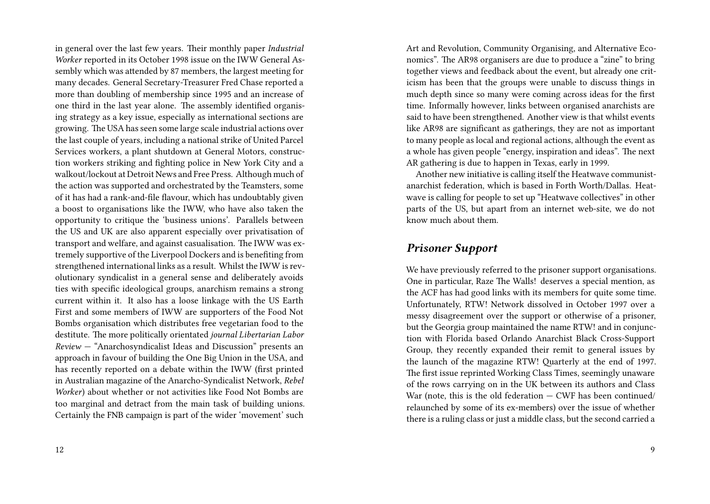in general over the last few years. Their monthly paper *Industrial Worker* reported in its October 1998 issue on the IWW General Assembly which was attended by 87 members, the largest meeting for many decades. General Secretary-Treasurer Fred Chase reported a more than doubling of membership since 1995 and an increase of one third in the last year alone. The assembly identified organising strategy as a key issue, especially as international sections are growing. The USA has seen some large scale industrial actions over the last couple of years, including a national strike of United Parcel Services workers, a plant shutdown at General Motors, construction workers striking and fighting police in New York City and a walkout/lockout at Detroit News and Free Press. Although much of the action was supported and orchestrated by the Teamsters, some of it has had a rank-and-file flavour, which has undoubtably given a boost to organisations like the IWW, who have also taken the opportunity to critique the 'business unions'. Parallels between the US and UK are also apparent especially over privatisation of transport and welfare, and against casualisation. The IWW was extremely supportive of the Liverpool Dockers and is benefiting from strengthened international links as a result. Whilst the IWW is revolutionary syndicalist in a general sense and deliberately avoids ties with specific ideological groups, anarchism remains a strong current within it. It also has a loose linkage with the US Earth First and some members of IWW are supporters of the Food Not Bombs organisation which distributes free vegetarian food to the destitute. The more politically orientated *journal Libertarian Labor Review* — "Anarchosyndicalist Ideas and Discussion" presents an approach in favour of building the One Big Union in the USA, and has recently reported on a debate within the IWW (first printed in Australian magazine of the Anarcho-Syndicalist Network, *Rebel Worker*) about whether or not activities like Food Not Bombs are too marginal and detract from the main task of building unions. Certainly the FNB campaign is part of the wider 'movement' such

Art and Revolution, Community Organising, and Alternative Economics". The AR98 organisers are due to produce a "zine" to bring together views and feedback about the event, but already one criticism has been that the groups were unable to discuss things in much depth since so many were coming across ideas for the first time. Informally however, links between organised anarchists are said to have been strengthened. Another view is that whilst events like AR98 are significant as gatherings, they are not as important to many people as local and regional actions, although the event as a whole has given people "energy, inspiration and ideas". The next AR gathering is due to happen in Texas, early in 1999.

Another new initiative is calling itself the Heatwave communistanarchist federation, which is based in Forth Worth/Dallas. Heatwave is calling for people to set up "Heatwave collectives" in other parts of the US, but apart from an internet web-site, we do not know much about them.

#### *Prisoner Support*

We have previously referred to the prisoner support organisations. One in particular, Raze The Walls! deserves a special mention, as the ACF has had good links with its members for quite some time. Unfortunately, RTW! Network dissolved in October 1997 over a messy disagreement over the support or otherwise of a prisoner, but the Georgia group maintained the name RTW! and in conjunction with Florida based Orlando Anarchist Black Cross-Support Group, they recently expanded their remit to general issues by the launch of the magazine RTW! Quarterly at the end of 1997. The first issue reprinted Working Class Times, seemingly unaware of the rows carrying on in the UK between its authors and Class War (note, this is the old federation  $-$  CWF has been continued/ relaunched by some of its ex-members) over the issue of whether there is a ruling class or just a middle class, but the second carried a